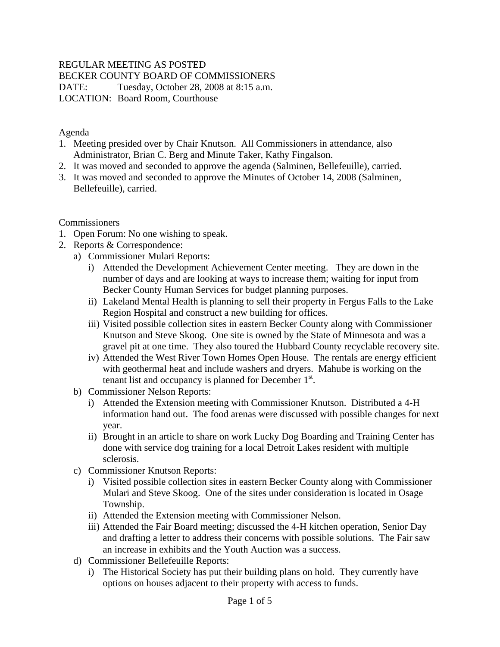## REGULAR MEETING AS POSTED

BECKER COUNTY BOARD OF COMMISSIONERS

DATE: Tuesday, October 28, 2008 at 8:15 a.m. LOCATION: Board Room, Courthouse

Agenda

- 1. Meeting presided over by Chair Knutson. All Commissioners in attendance, also Administrator, Brian C. Berg and Minute Taker, Kathy Fingalson.
- 2. It was moved and seconded to approve the agenda (Salminen, Bellefeuille), carried.
- 3. It was moved and seconded to approve the Minutes of October 14, 2008 (Salminen, Bellefeuille), carried.

Commissioners

- 1. Open Forum: No one wishing to speak.
- 2. Reports & Correspondence:
	- a) Commissioner Mulari Reports:
		- i) Attended the Development Achievement Center meeting. They are down in the number of days and are looking at ways to increase them; waiting for input from Becker County Human Services for budget planning purposes.
		- ii) Lakeland Mental Health is planning to sell their property in Fergus Falls to the Lake Region Hospital and construct a new building for offices.
		- iii) Visited possible collection sites in eastern Becker County along with Commissioner Knutson and Steve Skoog. One site is owned by the State of Minnesota and was a gravel pit at one time. They also toured the Hubbard County recyclable recovery site.
		- iv) Attended the West River Town Homes Open House. The rentals are energy efficient with geothermal heat and include washers and dryers. Mahube is working on the tenant list and occupancy is planned for December  $1<sup>st</sup>$ .
	- b) Commissioner Nelson Reports:
		- i) Attended the Extension meeting with Commissioner Knutson. Distributed a 4-H information hand out. The food arenas were discussed with possible changes for next year.
		- ii) Brought in an article to share on work Lucky Dog Boarding and Training Center has done with service dog training for a local Detroit Lakes resident with multiple sclerosis.
	- c) Commissioner Knutson Reports:
		- i) Visited possible collection sites in eastern Becker County along with Commissioner Mulari and Steve Skoog. One of the sites under consideration is located in Osage Township.
		- ii) Attended the Extension meeting with Commissioner Nelson.
		- iii) Attended the Fair Board meeting; discussed the 4-H kitchen operation, Senior Day and drafting a letter to address their concerns with possible solutions. The Fair saw an increase in exhibits and the Youth Auction was a success.
	- d) Commissioner Bellefeuille Reports:
		- i) The Historical Society has put their building plans on hold. They currently have options on houses adjacent to their property with access to funds.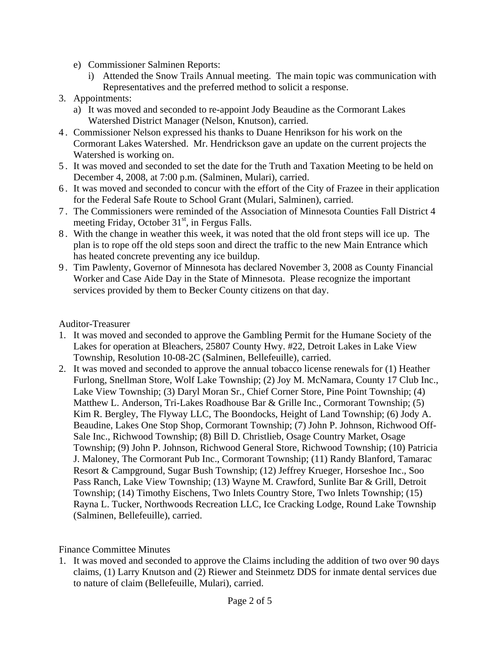- e) Commissioner Salminen Reports:
	- i) Attended the Snow Trails Annual meeting. The main topic was communication with Representatives and the preferred method to solicit a response.
- 3. Appointments:
	- a) It was moved and seconded to re-appoint Jody Beaudine as the Cormorant Lakes Watershed District Manager (Nelson, Knutson), carried.
- 4 . Commissioner Nelson expressed his thanks to Duane Henrikson for his work on the Cormorant Lakes Watershed. Mr. Hendrickson gave an update on the current projects the Watershed is working on.
- 5 . It was moved and seconded to set the date for the Truth and Taxation Meeting to be held on December 4, 2008, at 7:00 p.m. (Salminen, Mulari), carried.
- 6 . It was moved and seconded to concur with the effort of the City of Frazee in their application for the Federal Safe Route to School Grant (Mulari, Salminen), carried.
- 7 . The Commissioners were reminded of the Association of Minnesota Counties Fall District 4 meeting Friday, October  $31<sup>st</sup>$ , in Fergus Falls.
- 8 . With the change in weather this week, it was noted that the old front steps will ice up. The plan is to rope off the old steps soon and direct the traffic to the new Main Entrance which has heated concrete preventing any ice buildup.
- 9 . Tim Pawlenty, Governor of Minnesota has declared November 3, 2008 as County Financial Worker and Case Aide Day in the State of Minnesota. Please recognize the important services provided by them to Becker County citizens on that day.

## Auditor-Treasurer

- 1. It was moved and seconded to approve the Gambling Permit for the Humane Society of the Lakes for operation at Bleachers, 25807 County Hwy. #22, Detroit Lakes in Lake View Township, Resolution 10-08-2C (Salminen, Bellefeuille), carried.
- 2. It was moved and seconded to approve the annual tobacco license renewals for (1) Heather Furlong, Snellman Store, Wolf Lake Township; (2) Joy M. McNamara, County 17 Club Inc., Lake View Township; (3) Daryl Moran Sr., Chief Corner Store, Pine Point Township; (4) Matthew L. Anderson, Tri-Lakes Roadhouse Bar & Grille Inc., Cormorant Township; (5) Kim R. Bergley, The Flyway LLC, The Boondocks, Height of Land Township; (6) Jody A. Beaudine, Lakes One Stop Shop, Cormorant Township; (7) John P. Johnson, Richwood Off-Sale Inc., Richwood Township; (8) Bill D. Christlieb, Osage Country Market, Osage Township; (9) John P. Johnson, Richwood General Store, Richwood Township; (10) Patricia J. Maloney, The Cormorant Pub Inc., Cormorant Township; (11) Randy Blanford, Tamarac Resort & Campground, Sugar Bush Township; (12) Jeffrey Krueger, Horseshoe Inc., Soo Pass Ranch, Lake View Township; (13) Wayne M. Crawford, Sunlite Bar & Grill, Detroit Township; (14) Timothy Eischens, Two Inlets Country Store, Two Inlets Township; (15) Rayna L. Tucker, Northwoods Recreation LLC, Ice Cracking Lodge, Round Lake Township (Salminen, Bellefeuille), carried.

## Finance Committee Minutes

1. It was moved and seconded to approve the Claims including the addition of two over 90 days claims, (1) Larry Knutson and (2) Riewer and Steinmetz DDS for inmate dental services due to nature of claim (Bellefeuille, Mulari), carried.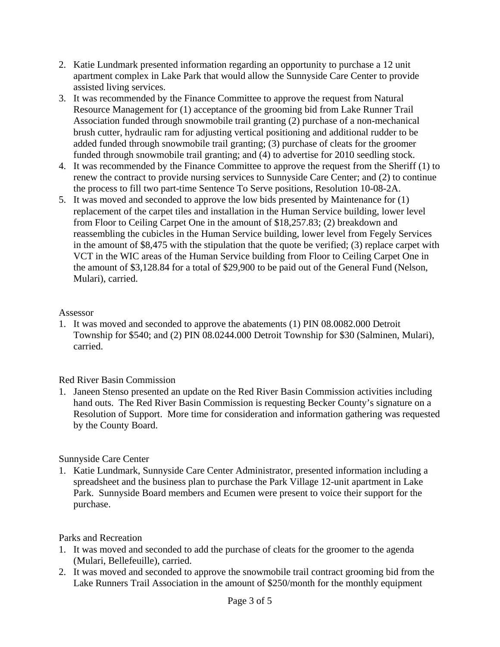- 2. Katie Lundmark presented information regarding an opportunity to purchase a 12 unit apartment complex in Lake Park that would allow the Sunnyside Care Center to provide assisted living services.
- 3. It was recommended by the Finance Committee to approve the request from Natural Resource Management for (1) acceptance of the grooming bid from Lake Runner Trail Association funded through snowmobile trail granting (2) purchase of a non-mechanical brush cutter, hydraulic ram for adjusting vertical positioning and additional rudder to be added funded through snowmobile trail granting; (3) purchase of cleats for the groomer funded through snowmobile trail granting; and (4) to advertise for 2010 seedling stock.
- 4. It was recommended by the Finance Committee to approve the request from the Sheriff (1) to renew the contract to provide nursing services to Sunnyside Care Center; and (2) to continue the process to fill two part-time Sentence To Serve positions, Resolution 10-08-2A.
- 5. It was moved and seconded to approve the low bids presented by Maintenance for (1) replacement of the carpet tiles and installation in the Human Service building, lower level from Floor to Ceiling Carpet One in the amount of \$18,257.83; (2) breakdown and reassembling the cubicles in the Human Service building, lower level from Fegely Services in the amount of \$8,475 with the stipulation that the quote be verified; (3) replace carpet with VCT in the WIC areas of the Human Service building from Floor to Ceiling Carpet One in the amount of \$3,128.84 for a total of \$29,900 to be paid out of the General Fund (Nelson, Mulari), carried.

#### Assessor

1. It was moved and seconded to approve the abatements (1) PIN 08.0082.000 Detroit Township for \$540; and (2) PIN 08.0244.000 Detroit Township for \$30 (Salminen, Mulari), carried.

#### Red River Basin Commission

1. Janeen Stenso presented an update on the Red River Basin Commission activities including hand outs. The Red River Basin Commission is requesting Becker County's signature on a Resolution of Support. More time for consideration and information gathering was requested by the County Board.

#### Sunnyside Care Center

1. Katie Lundmark, Sunnyside Care Center Administrator, presented information including a spreadsheet and the business plan to purchase the Park Village 12-unit apartment in Lake Park. Sunnyside Board members and Ecumen were present to voice their support for the purchase.

#### Parks and Recreation

- 1. It was moved and seconded to add the purchase of cleats for the groomer to the agenda (Mulari, Bellefeuille), carried.
- 2. It was moved and seconded to approve the snowmobile trail contract grooming bid from the Lake Runners Trail Association in the amount of \$250/month for the monthly equipment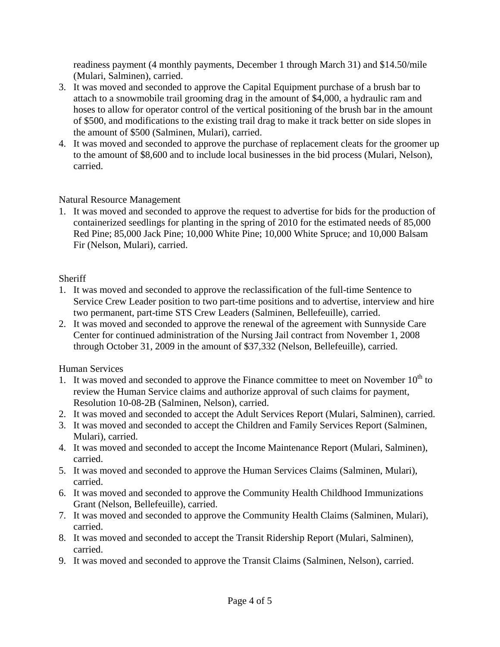readiness payment (4 monthly payments, December 1 through March 31) and \$14.50/mile (Mulari, Salminen), carried.

- 3. It was moved and seconded to approve the Capital Equipment purchase of a brush bar to attach to a snowmobile trail grooming drag in the amount of \$4,000, a hydraulic ram and hoses to allow for operator control of the vertical positioning of the brush bar in the amount of \$500, and modifications to the existing trail drag to make it track better on side slopes in the amount of \$500 (Salminen, Mulari), carried.
- 4. It was moved and seconded to approve the purchase of replacement cleats for the groomer up to the amount of \$8,600 and to include local businesses in the bid process (Mulari, Nelson), carried.

## Natural Resource Management

1. It was moved and seconded to approve the request to advertise for bids for the production of containerized seedlings for planting in the spring of 2010 for the estimated needs of 85,000 Red Pine; 85,000 Jack Pine; 10,000 White Pine; 10,000 White Spruce; and 10,000 Balsam Fir (Nelson, Mulari), carried.

# **Sheriff**

- 1. It was moved and seconded to approve the reclassification of the full-time Sentence to Service Crew Leader position to two part-time positions and to advertise, interview and hire two permanent, part-time STS Crew Leaders (Salminen, Bellefeuille), carried.
- 2. It was moved and seconded to approve the renewal of the agreement with Sunnyside Care Center for continued administration of the Nursing Jail contract from November 1, 2008 through October 31, 2009 in the amount of \$37,332 (Nelson, Bellefeuille), carried.

# Human Services

- 1. It was moved and seconded to approve the Finance committee to meet on November  $10^{th}$  to review the Human Service claims and authorize approval of such claims for payment, Resolution 10-08-2B (Salminen, Nelson), carried.
- 2. It was moved and seconded to accept the Adult Services Report (Mulari, Salminen), carried.
- 3. It was moved and seconded to accept the Children and Family Services Report (Salminen, Mulari), carried.
- 4. It was moved and seconded to accept the Income Maintenance Report (Mulari, Salminen), carried.
- 5. It was moved and seconded to approve the Human Services Claims (Salminen, Mulari), carried.
- 6. It was moved and seconded to approve the Community Health Childhood Immunizations Grant (Nelson, Bellefeuille), carried.
- 7. It was moved and seconded to approve the Community Health Claims (Salminen, Mulari), carried.
- 8. It was moved and seconded to accept the Transit Ridership Report (Mulari, Salminen), carried.
- 9. It was moved and seconded to approve the Transit Claims (Salminen, Nelson), carried.